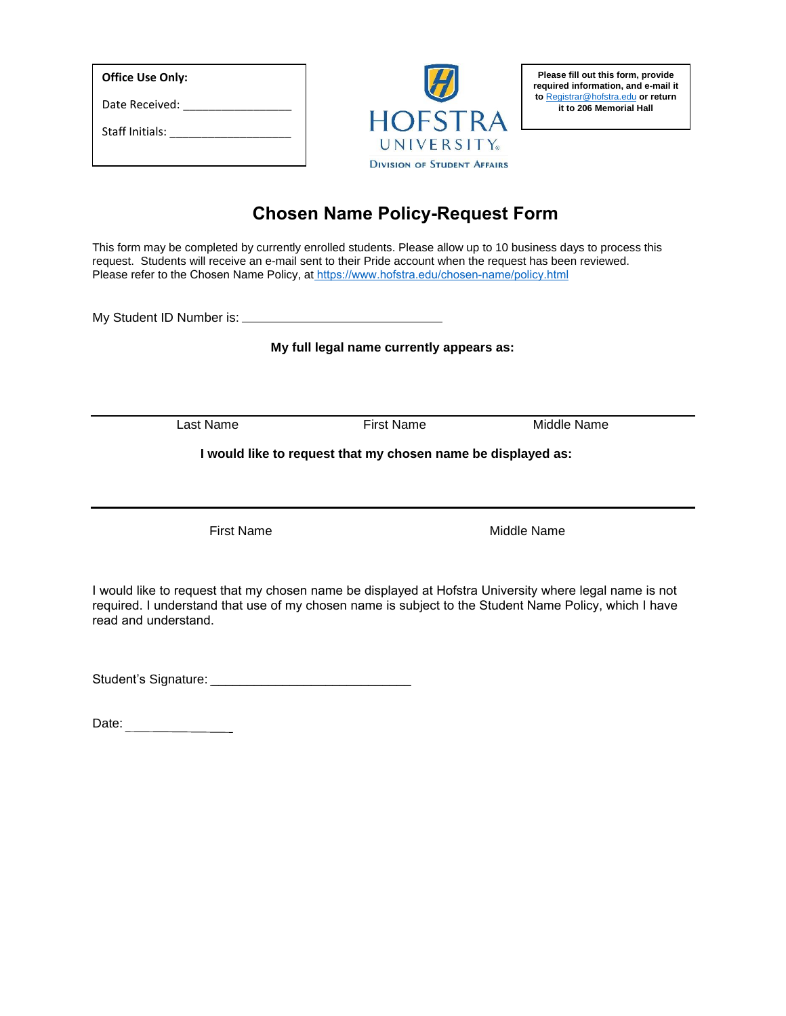| <b>Office Use Only:</b> |  |
|-------------------------|--|
| Date Received:          |  |
| Staff Initials:         |  |



**Please fill out this form, provide required information, and e-mail it to** [Registrar@hofstra.edu](mailto:Registrar@hofstra.edu) **or return it to 206 Memorial Hall**

## **Chosen Name Policy-Request Form**

This form may be completed by currently enrolled students. Please allow up to 10 business days to process this request. Students will receive an e-mail sent to their Pride account when the request has been reviewed. Please refer to the Chosen Name Policy, at<https://www.hofstra.edu/chosen-name/policy.html>

My Student ID Number is:

**My full legal name currently appears as:**

Last Name First Name Middle Name

**I would like to request that my chosen name be displayed as:**

First Name **Middle Name** Middle Name

I would like to request that my chosen name be displayed at Hofstra University where legal name is not required. I understand that use of my chosen name is subject to the Student Name Policy, which I have read and understand.

Student's Signature: \_\_\_\_\_\_\_\_\_\_\_\_\_\_\_\_\_\_\_\_\_\_\_\_\_\_\_\_

Date: